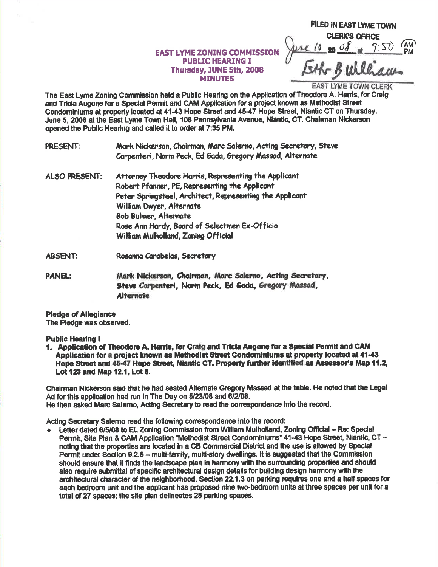## **EAST LYME ZONING COMMISSION PUBLIC HEARING I** Thursday, JUNE 5th, 2008 **MINUTES**

FILED IN EAST LYME TOWN **CLERK'S OFFICE** 

EAST LYME TOWN CLERK

The East Lyme Zoning Commission held a Public Hearing on the Application of Theodore A. Harris, for Craig and Tricia Augone for a Special Permit and CAM Application for a project known as Methodist Street Condominiums at property located at 41-43 Hope Street and 45-47 Hope Street, Niantic CT on Thursday. June 5, 2008 at the East Lyme Town Hall, 108 Pennsylvania Avenue, Niantic, CT. Chairman Nickerson opened the Public Hearing and called it to order at 7:35 PM.

Mark Nickerson, Chairman, Marc Salerno, Acting Secretary, Steve PRESENT: Carpenteri, Norm Peck, Ed Gada, Gregory Massad, Alternate

- **ALSO PRESENT:** Attorney Theodore Harris, Representing the Applicant Robert Pfanner, PE, Representing the Applicant Peter Springsteel, Architect, Representing the Applicant William Dwyer, Alternate **Bob Bulmer, Alternate** Rose Ann Hardy, Board of Selectmen Ex-Officio William Mulholland, Zoning Official
- **ABSENT:** Rosanna Carabelas, Secretary

**PANEL:** Mark Nickerson, Chairman, Marc Salerno, Acting Secretary, Steve Carpenteri, Norm Peck, Ed Gada, Gregory Massad, **Alternate** 

**Pledge of Allegiance** The Pledge was observed.

**Public Hearing I** 

1. Application of Theodore A. Harris, for Craig and Tricia Augone for a Special Permit and CAM Application for a project known as Methodist Street Condominiums at property located at 41-43 Hope Street and 45-47 Hope Street, Niantic CT. Property further identified as Assessor's Map 11.2, Lot 123 and Map 12.1. Lot 8.

Chairman Nickerson said that he had seated Alternate Gregory Massad at the table. He noted that the Legal Ad for this application had run in The Day on 5/23/08 and 6/2/08. He then asked Marc Salemo, Acting Secretary to read the correspondence into the record.

Acting Secretary Salemo read the following correspondence into the record:

+ Letter dated 6/5/08 to EL Zoning Commission from William Mulholland, Zoning Official - Re: Special Permit. Site Plan & CAM Application "Methodist Street Condominiums" 41-43 Hope Street, Niantic, CT noting that the properties are located in a CB Commercial District and the use is allowed by Special Permit under Section 9.2.5 - multi-family, multi-story dwellings, it is suggested that the Commission should ensure that it finds the landscape plan in harmony with the surrounding properties and should also require submittal of specific architectural design details for building design harmony with the architectural character of the neighborhood. Section 22.1.3 on parking requires one and a half spaces for each bedroom unit and the applicant has proposed nine two-bedroom units at three spaces per unit for a total of 27 spaces; the site plan delineates 28 parking spaces.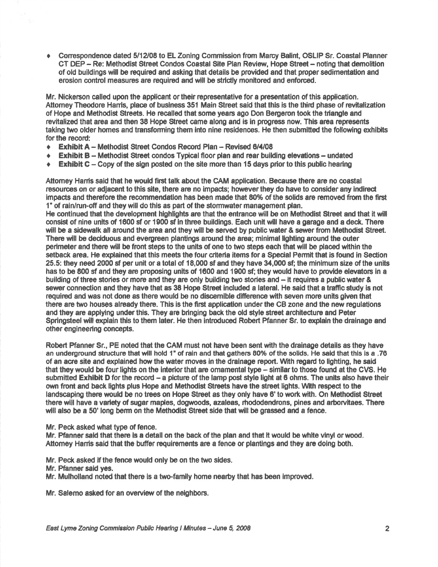◆ Correspondence dated 5/12/08 to EL Zoning Commission from Marcy Balint, OSLIP Sr. Coastal Planner CT DEP - Re: Methodist Street Condos Coastal Site Plan Review, Hope Street - noting that demolition of old buildings will be required and asking that details be provided and that proper sedimentation and erosion control measures are required and will be strictly monitored and enforced.

Mr. Nickerson called upon the applicant or their representative for a presentation of this application. Attomey Theodore Harris, place of business 351 Main Street said that this is the third phase of revitalization of Hope and Methodist Streets. He recalled that some years ago Don Bergeron took the triangle and revitalized that area and then 38 Hope Street came along and is in progress now. This area represents taking two older homes and transforming them into nine residences. He then submitted the following exhibits for the record:

- **Exhibit A Methodist Street Condos Record Plan Revised 6/4/08**
- $\div$  Exhibit B Methodist Street condos Typical floor plan and rear building elevations undated
- **FIRE Exhibit C** Copy of the sign posted on the site more than 15 days prior to this public hearing

Attomey Harris said that he would first talk about the CAM application. Because there are no coastal resources on or adjacent to this site, there are no impacts; however they do have to consider any indirect impacts and therefore the recommendation has been made that 80% of the solids are removed from the first 1" of rain/run-ofi and they will do thls as part of the stormwater management plan.

He continued that the development highlights are that the entrance will be on Methodist Street and that it will consist of nine units of 1600 sf or 1900 sf in three buildings. Each unit will have a garage and a deck. There will be a sidewalk all around the area and they will be served by public water & server from Methodist Street. There will be deciduous and evergreen plantings around the area; minimal lighting around the outer perimeter and there will be front steps to the units of one to two steps each that will be placed within the setback area. He explained that this meets the four criteria items for a Special Permit that is found in Section 25.5: they need 2000 sf per unit or a total of 18,000 sf and they have 34,000 sf; the minimum size of the units has to be 800 sf and they are proposing units of 1600 and 1900 sf; they would have to provide elevators in a building of three stories or more and they are only building two stories and – it requires a public water & sewer connection and they have that as 38 Hope Street included a lateral. He said that a traffic study is not required and was not done as there would be no discemlble difference with seven more units given that there are two houses already there. This is the first application under the CB zone and the new regulations and they are applying under this. They are bringing back the old style street architecture and Peter Springsteel will explain this to them later. He then introduced Robert Pfanner Sr. to explain the drainage and other engineering concepts.

Robert Pfanner Sr., PE noted that the CAM must not have been sent with the drainage details as they have an underground structure that will hold 1" of rain and that gathers 80% of the solids. He said that this is a .76 of an acre site and explained how the water moves in the drainage report. With regard to lighting, he said that they would be four lights on the interior that are omamental type - similar to those found at the CVS. He submitted Exhibit D for the record - a picture of the lamp post style light at 6 ohms. The units also have their own front and back lights plus Hope and Methodist Streets have the street lights. With respect to the landscaping there would be no trees on Hope Street as they only have 6' to work with. On Methodist Street there will have a variety of sugar maples, dogwoods, azaleas, rhododendrons, pines and arborvitaes. There will also be a 50' long berm on the Methodist Street side that will be grassed and a fence.

Mr. Peck asked what type of fence.

Mr. Pfanner said that there is a detail on the back of the plan and that it would be white vinyl or wood. Attorney Harris said that the buffer requirements are a fence or plantings and they are doing both.

Mr. Peck asked if the fence would only be on the two sides.

- Mr. Pfanner sald yes.
- Mr. Mulholland noted that there is a two-family home nearby that has been lmproved.

Mr. Salemo asked for an overview of the neighbors.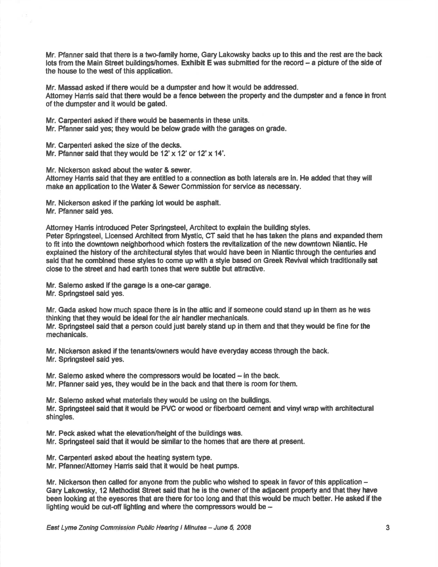Mr. Pfanner said that there is a two-family home, Gary Lakowsky backs up to this and the rest are the back lots from the Main Street buildings/homes. Exhibit E was submitted for the record - a picture of the side of the house to the west of this application.

Mr. Massad asked if there would be a dumpster and how it would be addressed. Attomey Harris said that there would be a fence between the property and the dumpster and a fence in front of the dumpsterand it would be gated.

Mr. Carpenteri asked if there would be basements in these units.

Mr. Pfenner said yes; they would be below grade with the garages on grade.

Mr. Carpenteri asked the size of the decks. Mr. Pfanner said that they would be  $12' \times 12'$  or  $12' \times 14'$ .

Mr. Nickerson asked about the water & sewer.

Atlomey Hanis said that they are entitled to a connection es both laterels are in. He added that they wlll make an application to the Water & Sewer Commission for service as necessary.

Mr. Nickerson esked if the parking lot would be asphalt. Mr. Pfanner said yes.

Attomey Hamis introduced Peter Springsteel, Architect to explain the building styles. Peter Springsteel, Licensed Architect from Mystic, CT said that he has taken the plans and expanded them to fit into the downtown neighborhood which fosters the revitalization of the new downtown Niantic. He explained the history of the architectural styles that would have been in Niantic through the centuries and sald that he combined these styles to come up with a style based on Greek Revival which traditionally sat close to the street and had earth tones that were subtle but attractive.

Mr. Salemo asked if the garage is a one-car garage. Mr. Springsteel said yes.

Mr. Gada asked how much space there is in the atic and if someone could stand up in them as he was thinking that they would be ideal for the air handler mechanicals.

Mr. Springsteel said that a person could just barely stand up in them and that they would be fine for the mechanicals.

Mr. Nickerson asked if the tenants/owners would have everyday access through the back. Mr. Springsteel said yes.

Mr. Salemo asked where the compressors would be located – in the back. Mr. Pfanner said yes, they would be in the back and that there is room forthem.

Mr. Salemo asked what materials they would be using on the buildings. Mr. Springsteel said that it would be PVC or wood or fiberboard cement and vinyl wrap with architectural shingles.

Mr. Peck asked what the elevation/height of the buildings was.

Mr. Springsteel said that it would be similar to the homes that are there at present.

Mr. Carpenteri asked about the heating system type.

Mr. Pfanner/Attomey Hamis said that it would be heat pumps.

Mr. Nickerson then called for anyone from the public who wished to speak in favor of this application  $-$ Gary Lakowsky, 12 Methodist Street said that he is the owner of the adjacent property and that they have been looking at the eyesores that are there for too long and that this would be much better. He asked if the lighting would be cut-off lighting and where the compressors would be